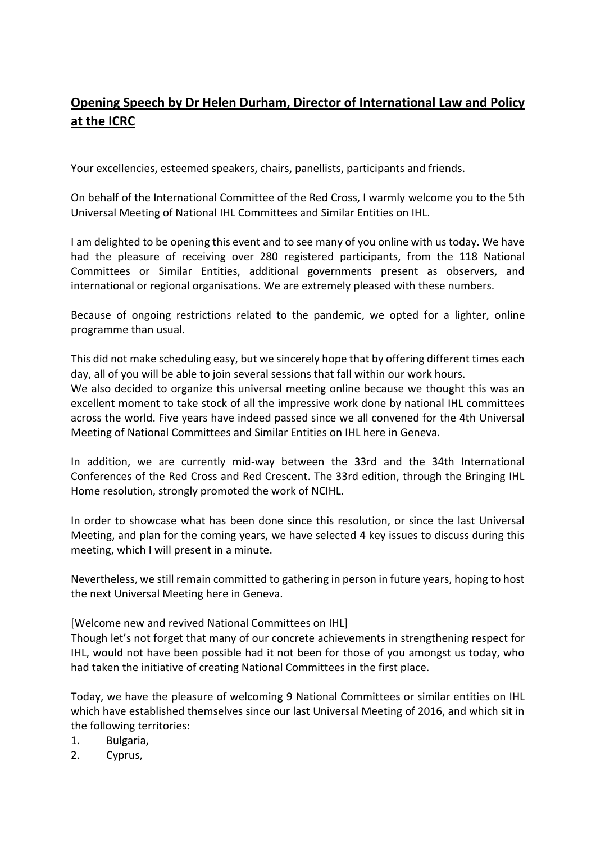## **Opening Speech by Dr Helen Durham, Director of International Law and Policy at the ICRC**

Your excellencies, esteemed speakers, chairs, panellists, participants and friends.

On behalf of the International Committee of the Red Cross, I warmly welcome you to the 5th Universal Meeting of National IHL Committees and Similar Entities on IHL.

I am delighted to be opening this event and to see many of you online with us today. We have had the pleasure of receiving over 280 registered participants, from the 118 National Committees or Similar Entities, additional governments present as observers, and international or regional organisations. We are extremely pleased with these numbers.

Because of ongoing restrictions related to the pandemic, we opted for a lighter, online programme than usual.

This did not make scheduling easy, but we sincerely hope that by offering different times each day, all of you will be able to join several sessions that fall within our work hours.

We also decided to organize this universal meeting online because we thought this was an excellent moment to take stock of all the impressive work done by national IHL committees across the world. Five years have indeed passed since we all convened for the 4th Universal Meeting of National Committees and Similar Entities on IHL here in Geneva.

In addition, we are currently mid-way between the 33rd and the 34th International Conferences of the Red Cross and Red Crescent. The 33rd edition, through the Bringing IHL Home resolution, strongly promoted the work of NCIHL.

In order to showcase what has been done since this resolution, or since the last Universal Meeting, and plan for the coming years, we have selected 4 key issues to discuss during this meeting, which I will present in a minute.

Nevertheless, we still remain committed to gathering in person in future years, hoping to host the next Universal Meeting here in Geneva.

[Welcome new and revived National Committees on IHL]

Though let's not forget that many of our concrete achievements in strengthening respect for IHL, would not have been possible had it not been for those of you amongst us today, who had taken the initiative of creating National Committees in the first place.

Today, we have the pleasure of welcoming 9 National Committees or similar entities on IHL which have established themselves since our last Universal Meeting of 2016, and which sit in the following territories:

- 1. Bulgaria,
- 2. Cyprus,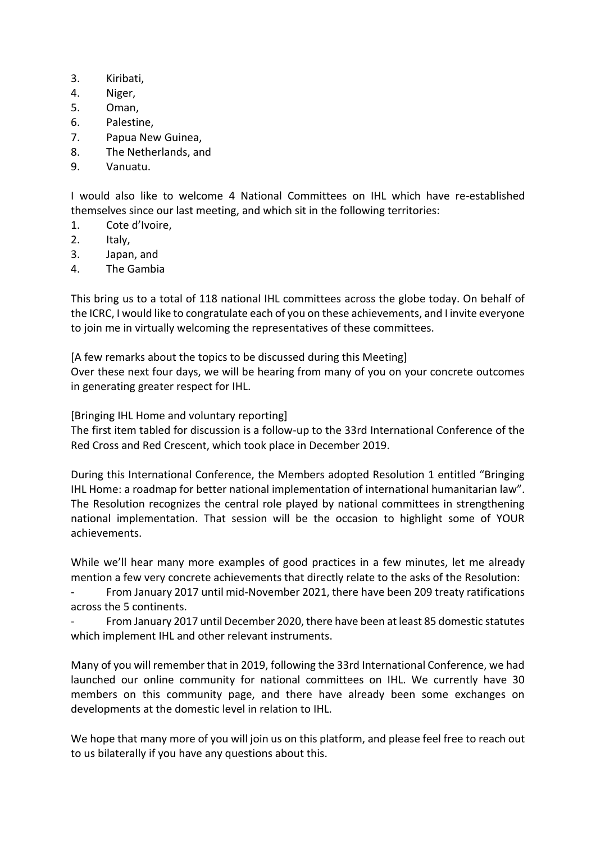- 3. Kiribati,
- 4. Niger,
- 5. Oman,
- 6. Palestine,
- 7. Papua New Guinea,
- 8. The Netherlands, and
- 9. Vanuatu.

I would also like to welcome 4 National Committees on IHL which have re-established themselves since our last meeting, and which sit in the following territories:

- 1. Cote d'Ivoire,
- 2. Italy,
- 3. Japan, and
- 4. The Gambia

This bring us to a total of 118 national IHL committees across the globe today. On behalf of the ICRC, I would like to congratulate each of you on these achievements, and I invite everyone to join me in virtually welcoming the representatives of these committees.

[A few remarks about the topics to be discussed during this Meeting] Over these next four days, we will be hearing from many of you on your concrete outcomes in generating greater respect for IHL.

[Bringing IHL Home and voluntary reporting]

The first item tabled for discussion is a follow-up to the 33rd International Conference of the Red Cross and Red Crescent, which took place in December 2019.

During this International Conference, the Members adopted Resolution 1 entitled "Bringing IHL Home: a roadmap for better national implementation of international humanitarian law". The Resolution recognizes the central role played by national committees in strengthening national implementation. That session will be the occasion to highlight some of YOUR achievements.

While we'll hear many more examples of good practices in a few minutes, let me already mention a few very concrete achievements that directly relate to the asks of the Resolution:

From January 2017 until mid-November 2021, there have been 209 treaty ratifications across the 5 continents.

- From January 2017 until December 2020, there have been at least 85 domestic statutes which implement IHL and other relevant instruments.

Many of you will remember that in 2019, following the 33rd International Conference, we had launched our online community for national committees on IHL. We currently have 30 members on this community page, and there have already been some exchanges on developments at the domestic level in relation to IHL.

We hope that many more of you will join us on this platform, and please feel free to reach out to us bilaterally if you have any questions about this.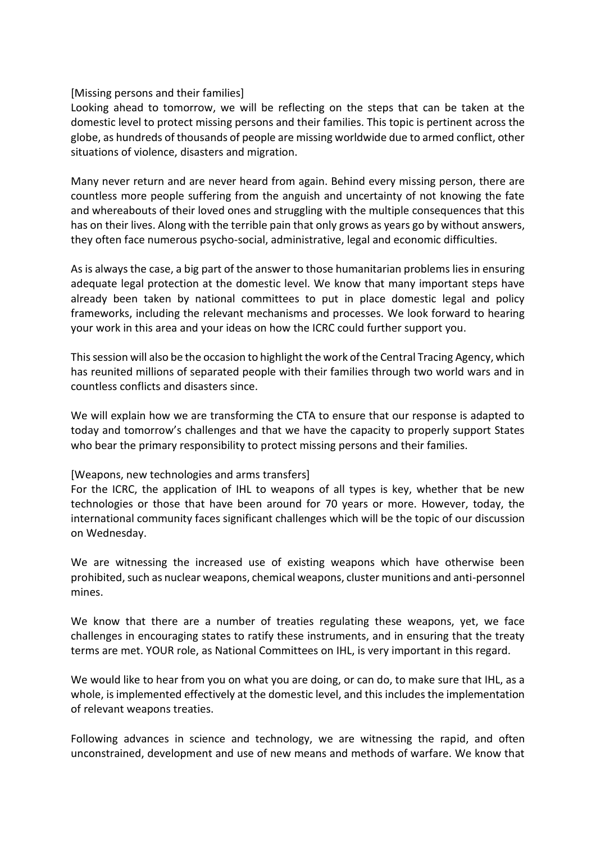## [Missing persons and their families]

Looking ahead to tomorrow, we will be reflecting on the steps that can be taken at the domestic level to protect missing persons and their families. This topic is pertinent across the globe, as hundreds of thousands of people are missing worldwide due to armed conflict, other situations of violence, disasters and migration.

Many never return and are never heard from again. Behind every missing person, there are countless more people suffering from the anguish and uncertainty of not knowing the fate and whereabouts of their loved ones and struggling with the multiple consequences that this has on their lives. Along with the terrible pain that only grows as years go by without answers, they often face numerous psycho-social, administrative, legal and economic difficulties.

As is always the case, a big part of the answer to those humanitarian problems lies in ensuring adequate legal protection at the domestic level. We know that many important steps have already been taken by national committees to put in place domestic legal and policy frameworks, including the relevant mechanisms and processes. We look forward to hearing your work in this area and your ideas on how the ICRC could further support you.

This session will also be the occasion to highlight the work of the Central Tracing Agency, which has reunited millions of separated people with their families through two world wars and in countless conflicts and disasters since.

We will explain how we are transforming the CTA to ensure that our response is adapted to today and tomorrow's challenges and that we have the capacity to properly support States who bear the primary responsibility to protect missing persons and their families.

## [Weapons, new technologies and arms transfers]

For the ICRC, the application of IHL to weapons of all types is key, whether that be new technologies or those that have been around for 70 years or more. However, today, the international community faces significant challenges which will be the topic of our discussion on Wednesday.

We are witnessing the increased use of existing weapons which have otherwise been prohibited, such as nuclear weapons, chemical weapons, cluster munitions and anti-personnel mines.

We know that there are a number of treaties regulating these weapons, yet, we face challenges in encouraging states to ratify these instruments, and in ensuring that the treaty terms are met. YOUR role, as National Committees on IHL, is very important in this regard.

We would like to hear from you on what you are doing, or can do, to make sure that IHL, as a whole, is implemented effectively at the domestic level, and this includes the implementation of relevant weapons treaties.

Following advances in science and technology, we are witnessing the rapid, and often unconstrained, development and use of new means and methods of warfare. We know that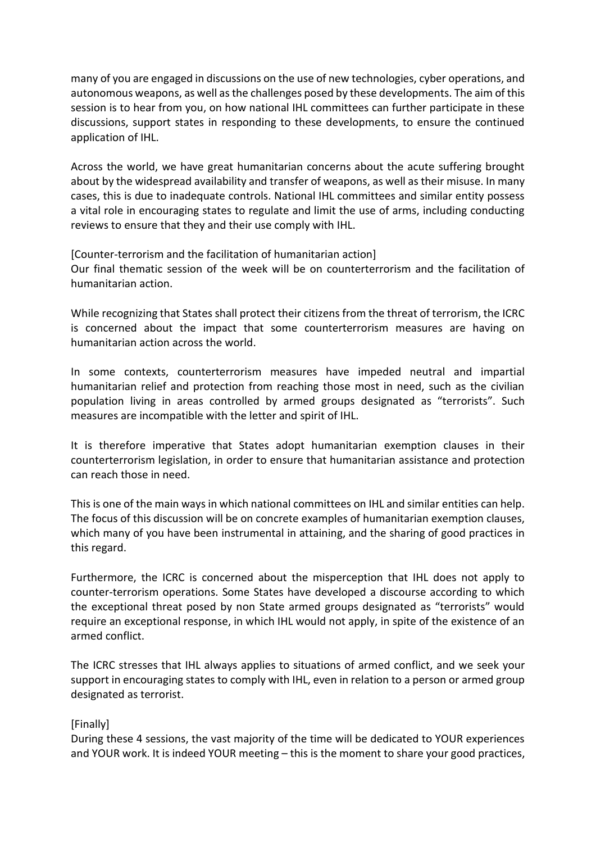many of you are engaged in discussions on the use of new technologies, cyber operations, and autonomous weapons, as well as the challenges posed by these developments. The aim of this session is to hear from you, on how national IHL committees can further participate in these discussions, support states in responding to these developments, to ensure the continued application of IHL.

Across the world, we have great humanitarian concerns about the acute suffering brought about by the widespread availability and transfer of weapons, as well as their misuse. In many cases, this is due to inadequate controls. National IHL committees and similar entity possess a vital role in encouraging states to regulate and limit the use of arms, including conducting reviews to ensure that they and their use comply with IHL.

[Counter-terrorism and the facilitation of humanitarian action] Our final thematic session of the week will be on counterterrorism and the facilitation of humanitarian action.

While recognizing that States shall protect their citizens from the threat of terrorism, the ICRC is concerned about the impact that some counterterrorism measures are having on humanitarian action across the world.

In some contexts, counterterrorism measures have impeded neutral and impartial humanitarian relief and protection from reaching those most in need, such as the civilian population living in areas controlled by armed groups designated as "terrorists". Such measures are incompatible with the letter and spirit of IHL.

It is therefore imperative that States adopt humanitarian exemption clauses in their counterterrorism legislation, in order to ensure that humanitarian assistance and protection can reach those in need.

This is one of the main ways in which national committees on IHL and similar entities can help. The focus of this discussion will be on concrete examples of humanitarian exemption clauses, which many of you have been instrumental in attaining, and the sharing of good practices in this regard.

Furthermore, the ICRC is concerned about the misperception that IHL does not apply to counter-terrorism operations. Some States have developed a discourse according to which the exceptional threat posed by non State armed groups designated as "terrorists" would require an exceptional response, in which IHL would not apply, in spite of the existence of an armed conflict.

The ICRC stresses that IHL always applies to situations of armed conflict, and we seek your support in encouraging states to comply with IHL, even in relation to a person or armed group designated as terrorist.

## [Finally]

During these 4 sessions, the vast majority of the time will be dedicated to YOUR experiences and YOUR work. It is indeed YOUR meeting – this is the moment to share your good practices,